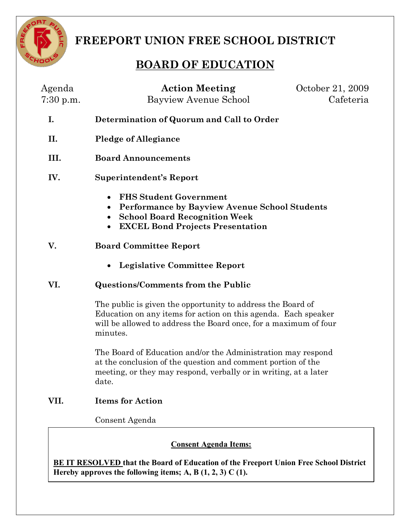

**FREEPORT UNION FREE SCHOOL DISTRICT** 

# **BOARD OF EDUCATION**

|      | Cafeteria<br>Bayview Avenue School                                                                                                                                                                                    |
|------|-----------------------------------------------------------------------------------------------------------------------------------------------------------------------------------------------------------------------|
| I.   | Determination of Quorum and Call to Order                                                                                                                                                                             |
| II.  | <b>Pledge of Allegiance</b>                                                                                                                                                                                           |
| III. | <b>Board Announcements</b>                                                                                                                                                                                            |
| IV.  | <b>Superintendent's Report</b>                                                                                                                                                                                        |
|      | <b>FHS Student Government</b><br>$\bullet$<br>Performance by Bayview Avenue School Students<br>$\bullet$<br><b>School Board Recognition Week</b><br>$\bullet$<br><b>EXCEL Bond Projects Presentation</b><br>$\bullet$ |
| V.   | <b>Board Committee Report</b>                                                                                                                                                                                         |
|      | <b>Legislative Committee Report</b><br>$\bullet$                                                                                                                                                                      |
| VI.  | <b>Questions/Comments from the Public</b>                                                                                                                                                                             |
|      | The public is given the opportunity to address the Board of<br>Education on any items for action on this agenda. Each speaker<br>will be allowed to address the Board once, for a maximum of four<br>minutes.         |
|      | The Board of Education and/or the Administration may respond<br>at the conclusion of the question and comment portion of the<br>meeting, or they may respond, verbally or in writing, at a later<br>date.             |
| VII. | <b>Items for Action</b>                                                                                                                                                                                               |
|      | Consent Agenda                                                                                                                                                                                                        |

**A. Consent Approve Hereby approves the following items; A, B (1,2, 3) C (1).BE IT RESOLVED that the Board of Education of the Freeport Union Free School District**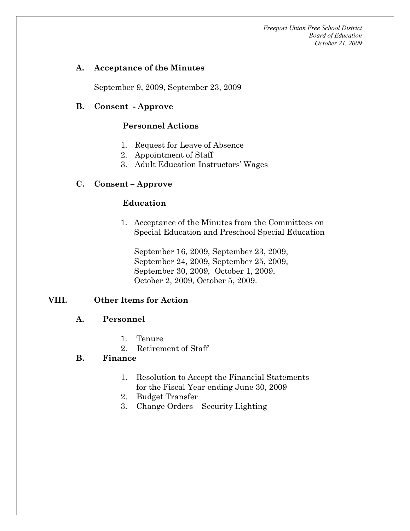*Freeport Union Free School District Board of Education October 21, 2009* 

#### **A. Acceptance of the Minutes**

September 9, 2009, September 23, 2009

#### **B. Consent Approve**

#### **Personnel Actions**

- 1. Request for Leave of Absence
- 2. Appointment of Staff
- 3. Adult Education Instructors' Wages

## **C. Consent – Approve**

## **Education**

1. Acceptance of the Minutes from the Committees on Special Education and Preschool Special Education

September 16, 2009, September 23, 2009, September 24, 2009, September 25, 2009, September 30, 2009, October 1, 2009, October 2, 2009, October 5, 2009.

# **VIII. Other Items for Action**

#### **A. Personnel**

- 1. Tenure
- 2. Retirement of Staff

# **B. Finance**

- 1. Resolution to Accept the Financial Statements for the Fiscal Year ending June 30, 2009
- 2. Budget Transfer
- 3. Change Orders Security Lighting